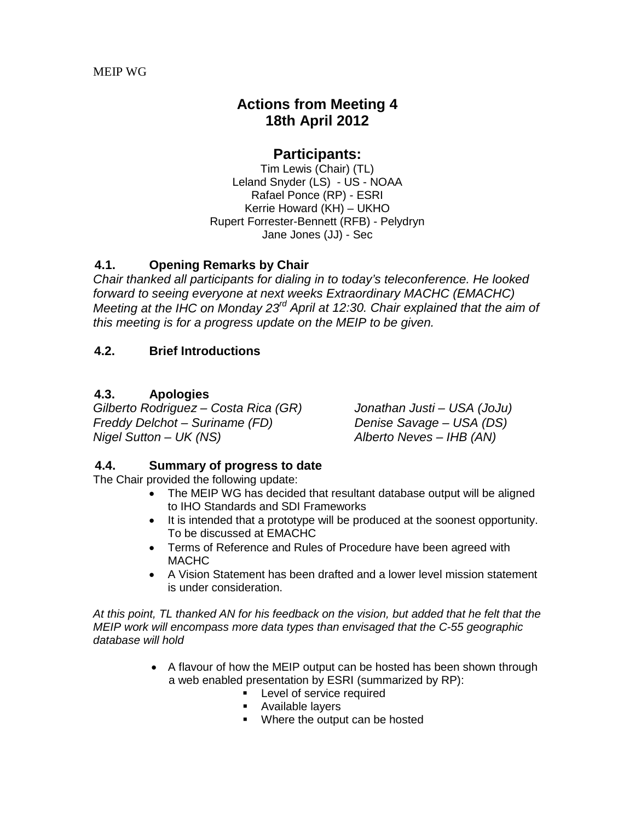# **Actions from Meeting 4 18th April 2012**

# **Participants:**

Tim Lewis (Chair) (TL) Leland Snyder (LS) - US - NOAA Rafael Ponce (RP) - ESRI Kerrie Howard (KH) – UKHO Rupert Forrester-Bennett (RFB) - Pelydryn Jane Jones (JJ) - Sec

# **4.1. Opening Remarks by Chair**

*Chair thanked all participants for dialing in to today's teleconference. He looked forward to seeing everyone at next weeks Extraordinary MACHC (EMACHC) Meeting at the IHC on Monday 23rd April at 12:30. Chair explained that the aim of this meeting is for a progress update on the MEIP to be given.*

#### **4.2. Brief Introductions**

#### **4.3. Apologies**

*Gilberto Rodriguez – Costa Rica (GR) Jonathan Justi – USA (JoJu) Freddy Delchot – Suriname (FD) Nigel Sutton – UK (NS) Alberto Neves – IHB (AN)*

#### **4.4. Summary of progress to date**

The Chair provided the following update:

- The MEIP WG has decided that resultant database output will be aligned to IHO Standards and SDI Frameworks
- It is intended that a prototype will be produced at the soonest opportunity. To be discussed at EMACHC
- Terms of Reference and Rules of Procedure have been agreed with MACHC
- A Vision Statement has been drafted and a lower level mission statement is under consideration.

*At this point, TL thanked AN for his feedback on the vision, but added that he felt that the MEIP work will encompass more data types than envisaged that the C-55 geographic database will hold*

- A flavour of how the MEIP output can be hosted has been shown through a web enabled presentation by ESRI (summarized by RP):
	- **-** Level of service required
	- **Available layers**
	- Where the output can be hosted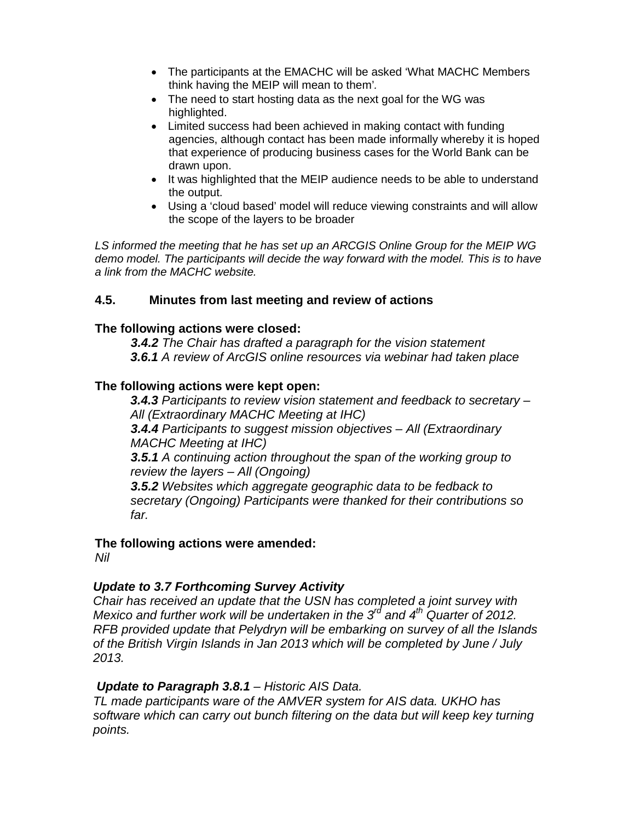- The participants at the EMACHC will be asked 'What MACHC Members think having the MEIP will mean to them'*.*
- The need to start hosting data as the next goal for the WG was highlighted.
- Limited success had been achieved in making contact with funding agencies, although contact has been made informally whereby it is hoped that experience of producing business cases for the World Bank can be drawn upon.
- It was highlighted that the MEIP audience needs to be able to understand the output.
- Using a 'cloud based' model will reduce viewing constraints and will allow the scope of the layers to be broader

*LS informed the meeting that he has set up an ARCGIS Online Group for the MEIP WG demo model. The participants will decide the way forward with the model. This is to have a link from the MACHC website.*

# **4.5. Minutes from last meeting and review of actions**

#### **The following actions were closed:**

*3.4.2 The Chair has drafted a paragraph for the vision statement 3.6.1 A review of ArcGIS online resources via webinar had taken place*

#### **The following actions were kept open:**

*3.4.3 Participants to review vision statement and feedback to secretary – All (Extraordinary MACHC Meeting at IHC)*

*3.4.4 Participants to suggest mission objectives – All (Extraordinary MACHC Meeting at IHC)*

*3.5.1 A continuing action throughout the span of the working group to review the layers – All (Ongoing)*

*3.5.2 Websites which aggregate geographic data to be fedback to secretary (Ongoing) Participants were thanked for their contributions so far.*

#### **The following actions were amended:**

*Nil*

# *Update to 3.7 Forthcoming Survey Activity*

*Chair has received an update that the USN has completed a joint survey with Mexico and further work will be undertaken in the 3rd and 4th Quarter of 2012. RFB provided update that Pelydryn will be embarking on survey of all the Islands of the British Virgin Islands in Jan 2013 which will be completed by June / July 2013.*

#### *Update to Paragraph 3.8.1 – Historic AIS Data.*

*TL made participants ware of the AMVER system for AIS data. UKHO has software which can carry out bunch filtering on the data but will keep key turning points.*